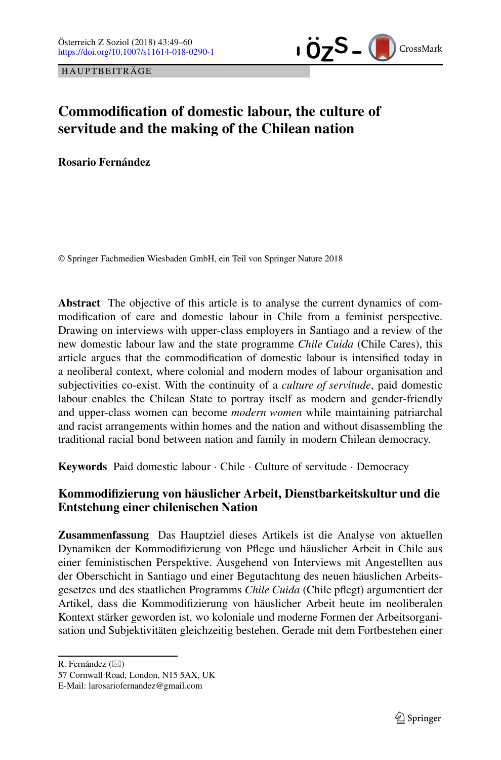HAUPTBEITRÄGE



# **Commodification of domestic labour, the culture of servitude and the making of the Chilean nation**

**Rosario Fernández**

© Springer Fachmedien Wiesbaden GmbH, ein Teil von Springer Nature 2018

**Abstract** The objective of this article is to analyse the current dynamics of commodification of care and domestic labour in Chile from a feminist perspective. Drawing on interviews with upper-class employers in Santiago and a review of the new domestic labour law and the state programme *Chile Cuida* (Chile Cares), this article argues that the commodification of domestic labour is intensified today in a neoliberal context, where colonial and modern modes of labour organisation and subjectivities co-exist. With the continuity of a *culture of servitude*, paid domestic labour enables the Chilean State to portray itself as modern and gender-friendly and upper-class women can become *modern women* while maintaining patriarchal and racist arrangements within homes and the nation and without disassembling the traditional racial bond between nation and family in modern Chilean democracy.

**Keywords** Paid domestic labour · Chile · Culture of servitude · Democracy

# **Kommodifizierung von häuslicher Arbeit, Dienstbarkeitskultur und die Entstehung einer chilenischen Nation**

**Zusammenfassung** Das Hauptziel dieses Artikels ist die Analyse von aktuellen Dynamiken der Kommodifizierung von Pflege und häuslicher Arbeit in Chile aus einer feministischen Perspektive. Ausgehend von Interviews mit Angestellten aus der Oberschicht in Santiago und einer Begutachtung des neuen häuslichen Arbeitsgesetzes und des staatlichen Programms *Chile Cuida* (Chile pflegt) argumentiert der Artikel, dass die Kommodifizierung von häuslicher Arbeit heute im neoliberalen Kontext stärker geworden ist, wo koloniale und moderne Formen der Arbeitsorganisation und Subjektivitäten gleichzeitig bestehen. Gerade mit dem Fortbestehen einer

R. Fernández  $(\boxtimes)$ 

<sup>57</sup> Cornwall Road, London, N15 5AX, UK

E-Mail: larosariofernandez@gmail.com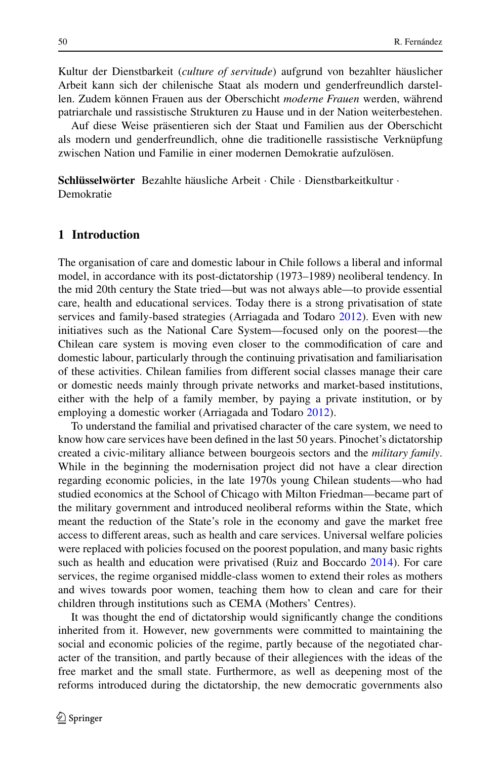Kultur der Dienstbarkeit (*culture of servitude*) aufgrund von bezahlter häuslicher Arbeit kann sich der chilenische Staat als modern und genderfreundlich darstellen. Zudem können Frauen aus der Oberschicht *moderne Frauen* werden, während patriarchale und rassistische Strukturen zu Hause und in der Nation weiterbestehen.

Auf diese Weise präsentieren sich der Staat und Familien aus der Oberschicht als modern und genderfreundlich, ohne die traditionelle rassistische Verknüpfung zwischen Nation und Familie in einer modernen Demokratie aufzulösen.

**Schlüsselwörter** Bezahlte häusliche Arbeit · Chile · Dienstbarkeitkultur · Demokratie

### **1 Introduction**

The organisation of care and domestic labour in Chile follows a liberal and informal model, in accordance with its post-dictatorship (1973–1989) neoliberal tendency. In the mid 20th century the State tried—but was not always able—to provide essential care, health and educational services. Today there is a strong privatisation of state services and family-based strategies (Arriagada and Todaro [2012\)](#page-10-0). Even with new initiatives such as the National Care System—focused only on the poorest—the Chilean care system is moving even closer to the commodification of care and domestic labour, particularly through the continuing privatisation and familiarisation of these activities. Chilean families from different social classes manage their care or domestic needs mainly through private networks and market-based institutions, either with the help of a family member, by paying a private institution, or by employing a domestic worker (Arriagada and Todaro [2012\)](#page-10-0).

To understand the familial and privatised character of the care system, we need to know how care services have been defined in the last 50 years. Pinochet's dictatorship created a civic-military alliance between bourgeois sectors and the *military family*. While in the beginning the modernisation project did not have a clear direction regarding economic policies, in the late 1970s young Chilean students—who had studied economics at the School of Chicago with Milton Friedman—became part of the military government and introduced neoliberal reforms within the State, which meant the reduction of the State's role in the economy and gave the market free access to different areas, such as health and care services. Universal welfare policies were replaced with policies focused on the poorest population, and many basic rights such as health and education were privatised (Ruiz and Boccardo [2014\)](#page-11-0). For care services, the regime organised middle-class women to extend their roles as mothers and wives towards poor women, teaching them how to clean and care for their children through institutions such as CEMA (Mothers' Centres).

It was thought the end of dictatorship would significantly change the conditions inherited from it. However, new governments were committed to maintaining the social and economic policies of the regime, partly because of the negotiated character of the transition, and partly because of their allegiences with the ideas of the free market and the small state. Furthermore, as well as deepening most of the reforms introduced during the dictatorship, the new democratic governments also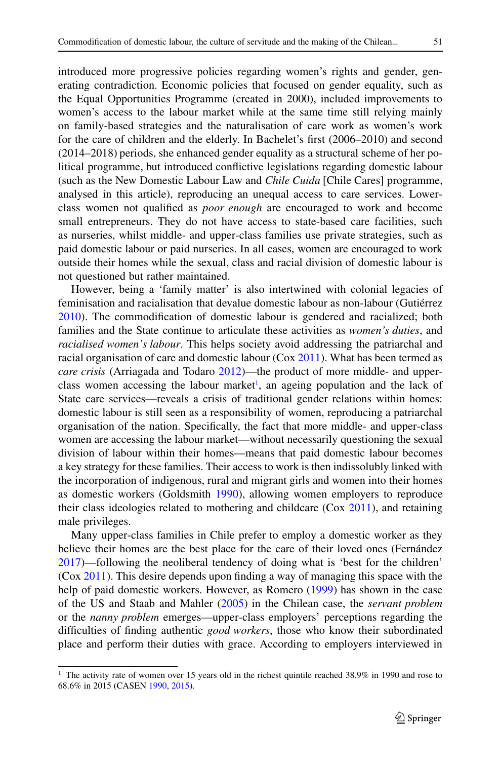introduced more progressive policies regarding women's rights and gender, generating contradiction. Economic policies that focused on gender equality, such as the Equal Opportunities Programme (created in 2000), included improvements to women's access to the labour market while at the same time still relying mainly on family-based strategies and the naturalisation of care work as women's work for the care of children and the elderly. In Bachelet's first (2006–2010) and second (2014–2018) periods, she enhanced gender equality as a structural scheme of her political programme, but introduced conflictive legislations regarding domestic labour (such as the New Domestic Labour Law and *Chile Cuida* [Chile Cares] programme, analysed in this article), reproducing an unequal access to care services. Lowerclass women not qualified as *poor enough* are encouraged to work and become small entrepreneurs. They do not have access to state-based care facilities, such as nurseries, whilst middle- and upper-class families use private strategies, such as paid domestic labour or paid nurseries. In all cases, women are encouraged to work outside their homes while the sexual, class and racial division of domestic labour is not questioned but rather maintained.

However, being a 'family matter' is also intertwined with colonial legacies of feminisation and racialisation that devalue domestic labour as non-labour (Gutiérrez [2010\)](#page-11-1). The commodification of domestic labour is gendered and racialized; both families and the State continue to articulate these activities as *women's duties*, and *racialised women's labour*. This helps society avoid addressing the patriarchal and racial organisation of care and domestic labour (Cox [2011\)](#page-10-1). What has been termed as *care crisis* (Arriagada and Todaro [2012\)](#page-10-0)—the product of more middle- and upperclass women accessing the labour market<sup>1</sup>, an ageing population and the lack of State care services—reveals a crisis of traditional gender relations within homes: domestic labour is still seen as a responsibility of women, reproducing a patriarchal organisation of the nation. Specifically, the fact that more middle- and upper-class women are accessing the labour market—without necessarily questioning the sexual division of labour within their homes—means that paid domestic labour becomes a key strategy for these families. Their access to work is then indissolubly linked with the incorporation of indigenous, rural and migrant girls and women into their homes as domestic workers (Goldsmith [1990\)](#page-11-2), allowing women employers to reproduce their class ideologies related to mothering and childcare (Cox [2011\)](#page-10-1), and retaining male privileges.

Many upper-class families in Chile prefer to employ a domestic worker as they believe their homes are the best place for the care of their loved ones (Fernández [2017\)](#page-10-2)—following the neoliberal tendency of doing what is 'best for the children' (Cox [2011\)](#page-10-1). This desire depends upon finding a way of managing this space with the help of paid domestic workers. However, as Romero [\(1999\)](#page-11-3) has shown in the case of the US and Staab and Mahler [\(2005\)](#page-11-4) in the Chilean case, the *servant problem* or the *nanny problem* emerges—upper-class employers' perceptions regarding the difficulties of finding authentic *good workers*, those who know their subordinated place and perform their duties with grace. According to employers interviewed in

<span id="page-2-0"></span><sup>&</sup>lt;sup>1</sup> The activity rate of women over 15 years old in the richest quintile reached 38.9% in 1990 and rose to 68.6% in 2015 (CASEN [1990,](#page-10-3) [2015\)](#page-10-4).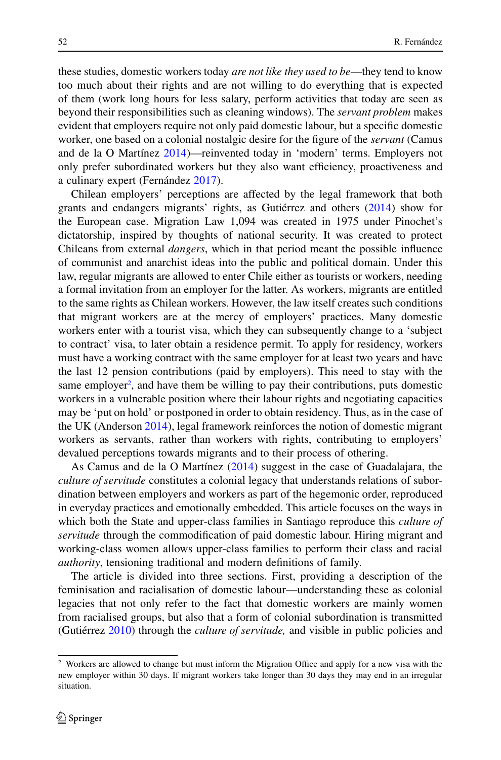these studies, domestic workers today *are not like they used to be*—they tend to know too much about their rights and are not willing to do everything that is expected of them (work long hours for less salary, perform activities that today are seen as beyond their responsibilities such as cleaning windows). The *servant problem* makes evident that employers require not only paid domestic labour, but a specific domestic worker, one based on a colonial nostalgic desire for the figure of the *servant* (Camus and de la O Martínez [2014\)](#page-10-5)—reinvented today in 'modern' terms. Employers not only prefer subordinated workers but they also want efficiency, proactiveness and a culinary expert (Fernández [2017\)](#page-10-2).

Chilean employers' perceptions are affected by the legal framework that both grants and endangers migrants' rights, as Gutiérrez and others [\(2014\)](#page-11-5) show for the European case. Migration Law 1,094 was created in 1975 under Pinochet's dictatorship, inspired by thoughts of national security. It was created to protect Chileans from external *dangers*, which in that period meant the possible influence of communist and anarchist ideas into the public and political domain. Under this law, regular migrants are allowed to enter Chile either as tourists or workers, needing a formal invitation from an employer for the latter. As workers, migrants are entitled to the same rights as Chilean workers. However, the law itself creates such conditions that migrant workers are at the mercy of employers' practices. Many domestic workers enter with a tourist visa, which they can subsequently change to a 'subject to contract' visa, to later obtain a residence permit. To apply for residency, workers must have a working contract with the same employer for at least two years and have the last 12 pension contributions (paid by employers). This need to stay with the same employer<sup>2</sup>, and have them be willing to pay their contributions, puts domestic workers in a vulnerable position where their labour rights and negotiating capacities may be 'put on hold' or postponed in order to obtain residency. Thus, as in the case of the UK (Anderson [2014\)](#page-10-6), legal framework reinforces the notion of domestic migrant workers as servants, rather than workers with rights, contributing to employers' devalued perceptions towards migrants and to their process of othering.

As Camus and de la O Martínez [\(2014\)](#page-10-5) suggest in the case of Guadalajara, the *culture of servitude* constitutes a colonial legacy that understands relations of subordination between employers and workers as part of the hegemonic order, reproduced in everyday practices and emotionally embedded. This article focuses on the ways in which both the State and upper-class families in Santiago reproduce this *culture of servitude* through the commodification of paid domestic labour. Hiring migrant and working-class women allows upper-class families to perform their class and racial *authority*, tensioning traditional and modern definitions of family.

The article is divided into three sections. First, providing a description of the feminisation and racialisation of domestic labour—understanding these as colonial legacies that not only refer to the fact that domestic workers are mainly women from racialised groups, but also that a form of colonial subordination is transmitted (Gutiérrez [2010\)](#page-11-1) through the *culture of servitude,* and visible in public policies and

<span id="page-3-0"></span><sup>2</sup> Workers are allowed to change but must inform the Migration Office and apply for a new visa with the new employer within 30 days. If migrant workers take longer than 30 days they may end in an irregular situation.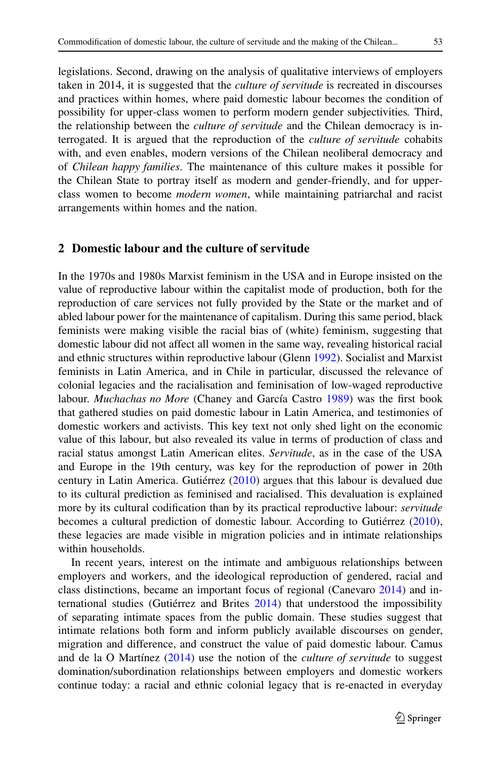legislations. Second, drawing on the analysis of qualitative interviews of employers taken in 2014, it is suggested that the *culture of servitude* is recreated in discourses and practices within homes, where paid domestic labour becomes the condition of possibility for upper-class women to perform modern gender subjectivities*.* Third, the relationship between the *culture of servitude* and the Chilean democracy is interrogated. It is argued that the reproduction of the *culture of servitude* cohabits with, and even enables, modern versions of the Chilean neoliberal democracy and of *Chilean happy families*. The maintenance of this culture makes it possible for the Chilean State to portray itself as modern and gender-friendly, and for upperclass women to become *modern women*, while maintaining patriarchal and racist arrangements within homes and the nation.

### **2 Domestic labour and the culture of servitude**

In the 1970s and 1980s Marxist feminism in the USA and in Europe insisted on the value of reproductive labour within the capitalist mode of production, both for the reproduction of care services not fully provided by the State or the market and of abled labour power for the maintenance of capitalism. During this same period, black feminists were making visible the racial bias of (white) feminism, suggesting that domestic labour did not affect all women in the same way, revealing historical racial and ethnic structures within reproductive labour (Glenn [1992\)](#page-10-7). Socialist and Marxist feminists in Latin America, and in Chile in particular, discussed the relevance of colonial legacies and the racialisation and feminisation of low-waged reproductive labour. *Muchachas no More* (Chaney and García Castro [1989\)](#page-10-8) was the first book that gathered studies on paid domestic labour in Latin America, and testimonies of domestic workers and activists. This key text not only shed light on the economic value of this labour, but also revealed its value in terms of production of class and racial status amongst Latin American elites. *Servitude*, as in the case of the USA and Europe in the 19th century, was key for the reproduction of power in 20th century in Latin America. Gutiérrez [\(2010\)](#page-11-1) argues that this labour is devalued due to its cultural prediction as feminised and racialised. This devaluation is explained more by its cultural codification than by its practical reproductive labour: *servitude* becomes a cultural prediction of domestic labour. According to Gutiérrez [\(2010\)](#page-11-1), these legacies are made visible in migration policies and in intimate relationships within households.

In recent years, interest on the intimate and ambiguous relationships between employers and workers, and the ideological reproduction of gendered, racial and class distinctions, became an important focus of regional (Canevaro [2014\)](#page-10-9) and international studies (Gutiérrez and Brites [2014\)](#page-11-5) that understood the impossibility of separating intimate spaces from the public domain. These studies suggest that intimate relations both form and inform publicly available discourses on gender, migration and difference, and construct the value of paid domestic labour. Camus and de la O Martínez [\(2014\)](#page-10-5) use the notion of the *culture of servitude* to suggest domination/subordination relationships between employers and domestic workers continue today: a racial and ethnic colonial legacy that is re-enacted in everyday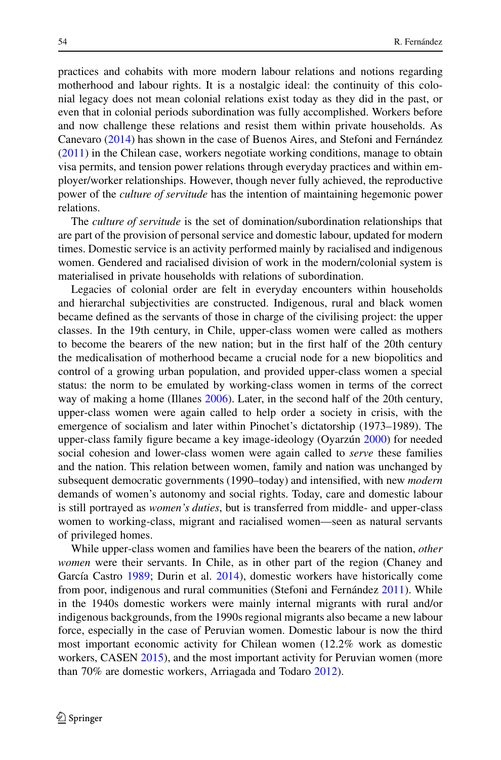practices and cohabits with more modern labour relations and notions regarding motherhood and labour rights. It is a nostalgic ideal: the continuity of this colonial legacy does not mean colonial relations exist today as they did in the past, or even that in colonial periods subordination was fully accomplished. Workers before and now challenge these relations and resist them within private households. As Canevaro [\(2014\)](#page-10-9) has shown in the case of Buenos Aires, and Stefoni and Fernández [\(2011\)](#page-11-6) in the Chilean case, workers negotiate working conditions, manage to obtain visa permits, and tension power relations through everyday practices and within employer/worker relationships. However, though never fully achieved, the reproductive power of the *culture of servitude* has the intention of maintaining hegemonic power relations.

The *culture of servitude* is the set of domination/subordination relationships that are part of the provision of personal service and domestic labour, updated for modern times. Domestic service is an activity performed mainly by racialised and indigenous women. Gendered and racialised division of work in the modern/colonial system is materialised in private households with relations of subordination.

Legacies of colonial order are felt in everyday encounters within households and hierarchal subjectivities are constructed. Indigenous, rural and black women became defined as the servants of those in charge of the civilising project: the upper classes. In the 19th century, in Chile, upper-class women were called as mothers to become the bearers of the new nation; but in the first half of the 20th century the medicalisation of motherhood became a crucial node for a new biopolitics and control of a growing urban population, and provided upper-class women a special status: the norm to be emulated by working-class women in terms of the correct way of making a home (Illanes [2006\)](#page-11-7). Later, in the second half of the 20th century, upper-class women were again called to help order a society in crisis, with the emergence of socialism and later within Pinochet's dictatorship (1973–1989). The upper-class family figure became a key image-ideology (Oyarzún [2000\)](#page-11-8) for needed social cohesion and lower-class women were again called to *serve* these families and the nation. This relation between women, family and nation was unchanged by subsequent democratic governments (1990–today) and intensified, with new *modern* demands of women's autonomy and social rights. Today, care and domestic labour is still portrayed as *women's duties*, but is transferred from middle- and upper-class women to working-class, migrant and racialised women—seen as natural servants of privileged homes.

While upper-class women and families have been the bearers of the nation, *other women* were their servants. In Chile, as in other part of the region (Chaney and García Castro [1989;](#page-10-8) Durin et al. [2014\)](#page-10-10), domestic workers have historically come from poor, indigenous and rural communities (Stefoni and Fernández [2011\)](#page-11-6). While in the 1940s domestic workers were mainly internal migrants with rural and/or indigenous backgrounds, from the 1990s regional migrants also became a new labour force, especially in the case of Peruvian women. Domestic labour is now the third most important economic activity for Chilean women (12.2% work as domestic workers, CASEN [2015\)](#page-10-4), and the most important activity for Peruvian women (more than 70% are domestic workers, Arriagada and Todaro [2012\)](#page-10-0).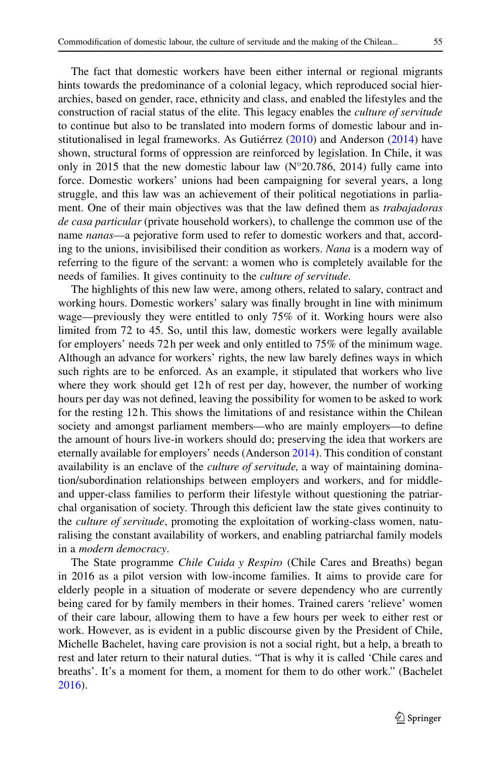The fact that domestic workers have been either internal or regional migrants hints towards the predominance of a colonial legacy, which reproduced social hierarchies, based on gender, race, ethnicity and class, and enabled the lifestyles and the construction of racial status of the elite. This legacy enables the *culture of servitude* to continue but also to be translated into modern forms of domestic labour and institutionalised in legal frameworks. As Gutiérrez [\(2010\)](#page-11-1) and Anderson [\(2014\)](#page-10-6) have shown, structural forms of oppression are reinforced by legislation. In Chile, it was only in 2015 that the new domestic labour law (N°20.786, 2014) fully came into force. Domestic workers' unions had been campaigning for several years, a long struggle, and this law was an achievement of their political negotiations in parliament. One of their main objectives was that the law defined them as *trabajadoras de casa particular* (private household workers), to challenge the common use of the name *nanas*—a pejorative form used to refer to domestic workers and that, according to the unions, invisibilised their condition as workers. *Nana* is a modern way of referring to the figure of the servant: a women who is completely available for the needs of families. It gives continuity to the *culture of servitude*.

The highlights of this new law were, among others, related to salary, contract and working hours. Domestic workers' salary was finally brought in line with minimum wage—previously they were entitled to only 75% of it. Working hours were also limited from 72 to 45. So, until this law, domestic workers were legally available for employers' needs 72 h per week and only entitled to 75% of the minimum wage. Although an advance for workers' rights, the new law barely defines ways in which such rights are to be enforced. As an example, it stipulated that workers who live where they work should get 12h of rest per day, however, the number of working hours per day was not defined, leaving the possibility for women to be asked to work for the resting 12 h. This shows the limitations of and resistance within the Chilean society and amongst parliament members—who are mainly employers—to define the amount of hours live-in workers should do; preserving the idea that workers are eternally available for employers' needs (Anderson [2014\)](#page-10-6). This condition of constant availability is an enclave of the *culture of servitude,* a way of maintaining domination/subordination relationships between employers and workers, and for middleand upper-class families to perform their lifestyle without questioning the patriarchal organisation of society. Through this deficient law the state gives continuity to the *culture of servitude*, promoting the exploitation of working-class women, naturalising the constant availability of workers, and enabling patriarchal family models in a *modern democracy*.

The State programme *Chile Cuida y Respiro* (Chile Cares and Breaths) began in 2016 as a pilot version with low-income families. It aims to provide care for elderly people in a situation of moderate or severe dependency who are currently being cared for by family members in their homes. Trained carers 'relieve' women of their care labour, allowing them to have a few hours per week to either rest or work. However, as is evident in a public discourse given by the President of Chile, Michelle Bachelet, having care provision is not a social right, but a help, a breath to rest and later return to their natural duties. "That is why it is called 'Chile cares and breaths'. It's a moment for them, a moment for them to do other work." (Bachelet [2016\)](#page-10-11).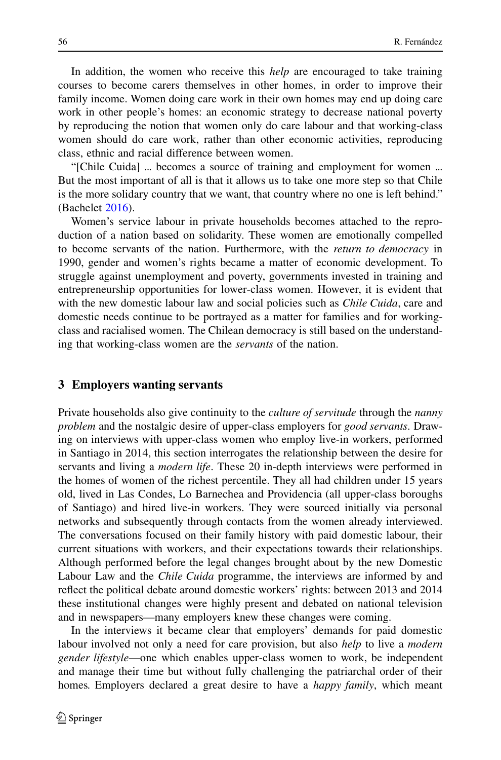In addition, the women who receive this *help* are encouraged to take training courses to become carers themselves in other homes, in order to improve their family income. Women doing care work in their own homes may end up doing care work in other people's homes: an economic strategy to decrease national poverty by reproducing the notion that women only do care labour and that working-class women should do care work, rather than other economic activities, reproducing class, ethnic and racial difference between women.

"[Chile Cuida] ... becomes a source of training and employment for women ... But the most important of all is that it allows us to take one more step so that Chile is the more solidary country that we want, that country where no one is left behind." (Bachelet [2016\)](#page-10-11).

Women's service labour in private households becomes attached to the reproduction of a nation based on solidarity. These women are emotionally compelled to become servants of the nation. Furthermore, with the *return to democracy* in 1990, gender and women's rights became a matter of economic development. To struggle against unemployment and poverty, governments invested in training and entrepreneurship opportunities for lower-class women. However, it is evident that with the new domestic labour law and social policies such as *Chile Cuida*, care and domestic needs continue to be portrayed as a matter for families and for workingclass and racialised women. The Chilean democracy is still based on the understanding that working-class women are the *servants* of the nation.

## **3 Employers wanting servants**

Private households also give continuity to the *culture of servitude* through the *nanny problem* and the nostalgic desire of upper-class employers for *good servants*. Drawing on interviews with upper-class women who employ live-in workers, performed in Santiago in 2014, this section interrogates the relationship between the desire for servants and living a *modern life*. These 20 in-depth interviews were performed in the homes of women of the richest percentile. They all had children under 15 years old, lived in Las Condes, Lo Barnechea and Providencia (all upper-class boroughs of Santiago) and hired live-in workers. They were sourced initially via personal networks and subsequently through contacts from the women already interviewed. The conversations focused on their family history with paid domestic labour, their current situations with workers, and their expectations towards their relationships. Although performed before the legal changes brought about by the new Domestic Labour Law and the *Chile Cuida* programme, the interviews are informed by and reflect the political debate around domestic workers' rights: between 2013 and 2014 these institutional changes were highly present and debated on national television and in newspapers—many employers knew these changes were coming.

In the interviews it became clear that employers' demands for paid domestic labour involved not only a need for care provision, but also *help* to live a *modern gender lifestyle*—one which enables upper-class women to work, be independent and manage their time but without fully challenging the patriarchal order of their homes*.* Employers declared a great desire to have a *happy family*, which meant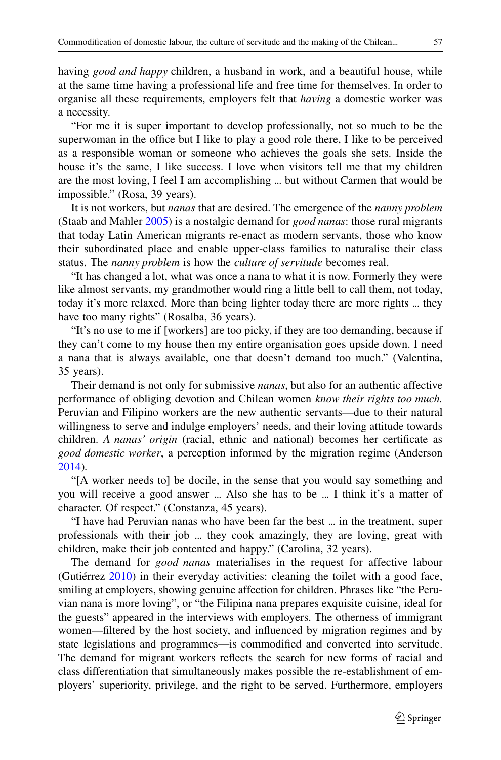having *good and happy* children, a husband in work, and a beautiful house, while at the same time having a professional life and free time for themselves. In order to organise all these requirements, employers felt that *having* a domestic worker was a necessity.

"For me it is super important to develop professionally, not so much to be the superwoman in the office but I like to play a good role there, I like to be perceived as a responsible woman or someone who achieves the goals she sets. Inside the house it's the same, I like success. I love when visitors tell me that my children are the most loving, I feel I am accomplishing ... but without Carmen that would be impossible." (Rosa, 39 years).

It is not workers, but *nanas* that are desired. The emergence of the *nanny problem* (Staab and Mahler [2005\)](#page-11-4) is a nostalgic demand for *good nanas*: those rural migrants that today Latin American migrants re-enact as modern servants, those who know their subordinated place and enable upper-class families to naturalise their class status. The *nanny problem* is how the *culture of servitude* becomes real.

"It has changed a lot, what was once a nana to what it is now. Formerly they were like almost servants, my grandmother would ring a little bell to call them, not today, today it's more relaxed. More than being lighter today there are more rights ... they have too many rights" (Rosalba, 36 years).

"It's no use to me if [workers] are too picky, if they are too demanding, because if they can't come to my house then my entire organisation goes upside down. I need a nana that is always available, one that doesn't demand too much." (Valentina, 35 years).

Their demand is not only for submissive *nanas*, but also for an authentic affective performance of obliging devotion and Chilean women *know their rights too much.* Peruvian and Filipino workers are the new authentic servants—due to their natural willingness to serve and indulge employers' needs, and their loving attitude towards children. *A nanas' origin* (racial, ethnic and national) becomes her certificate as *good domestic worker*, a perception informed by the migration regime (Anderson [2014\)](#page-10-6)*.*

"[A worker needs to] be docile, in the sense that you would say something and you will receive a good answer ... Also she has to be ... I think it's a matter of character. Of respect." (Constanza, 45 years).

"I have had Peruvian nanas who have been far the best ... in the treatment, super professionals with their job ... they cook amazingly, they are loving, great with children, make their job contented and happy." (Carolina, 32 years).

The demand for *good nanas* materialises in the request for affective labour (Gutiérrez [2010\)](#page-11-1) in their everyday activities: cleaning the toilet with a good face, smiling at employers, showing genuine affection for children. Phrases like "the Peruvian nana is more loving", or "the Filipina nana prepares exquisite cuisine, ideal for the guests" appeared in the interviews with employers. The otherness of immigrant women—filtered by the host society, and influenced by migration regimes and by state legislations and programmes—is commodified and converted into servitude. The demand for migrant workers reflects the search for new forms of racial and class differentiation that simultaneously makes possible the re-establishment of employers' superiority, privilege, and the right to be served. Furthermore, employers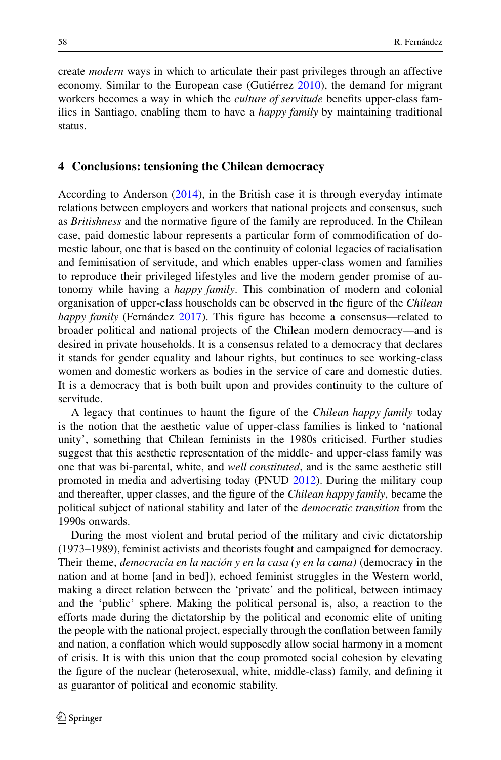create *modern* ways in which to articulate their past privileges through an affective economy. Similar to the European case (Gutiérrez [2010\)](#page-11-1), the demand for migrant workers becomes a way in which the *culture of servitude* benefits upper-class families in Santiago, enabling them to have a *happy family* by maintaining traditional status.

#### **4 Conclusions: tensioning the Chilean democracy**

According to Anderson [\(2014\)](#page-10-6), in the British case it is through everyday intimate relations between employers and workers that national projects and consensus, such as *Britishness* and the normative figure of the family are reproduced. In the Chilean case, paid domestic labour represents a particular form of commodification of domestic labour, one that is based on the continuity of colonial legacies of racialisation and feminisation of servitude, and which enables upper-class women and families to reproduce their privileged lifestyles and live the modern gender promise of autonomy while having a *happy family*. This combination of modern and colonial organisation of upper-class households can be observed in the figure of the *Chilean happy family* (Fernández [2017\)](#page-10-2). This figure has become a consensus—related to broader political and national projects of the Chilean modern democracy—and is desired in private households. It is a consensus related to a democracy that declares it stands for gender equality and labour rights, but continues to see working-class women and domestic workers as bodies in the service of care and domestic duties. It is a democracy that is both built upon and provides continuity to the culture of servitude.

A legacy that continues to haunt the figure of the *Chilean happy family* today is the notion that the aesthetic value of upper-class families is linked to 'national unity', something that Chilean feminists in the 1980s criticised. Further studies suggest that this aesthetic representation of the middle- and upper-class family was one that was bi-parental, white, and *well constituted*, and is the same aesthetic still promoted in media and advertising today (PNUD [2012\)](#page-11-9). During the military coup and thereafter, upper classes, and the figure of the *Chilean happy family*, became the political subject of national stability and later of the *democratic transition* from the 1990s onwards.

During the most violent and brutal period of the military and civic dictatorship (1973–1989), feminist activists and theorists fought and campaigned for democracy. Their theme, *democracia en la nación y en la casa (y en la cama)* (democracy in the nation and at home [and in bed]), echoed feminist struggles in the Western world, making a direct relation between the 'private' and the political, between intimacy and the 'public' sphere. Making the political personal is, also, a reaction to the efforts made during the dictatorship by the political and economic elite of uniting the people with the national project, especially through the conflation between family and nation, a conflation which would supposedly allow social harmony in a moment of crisis. It is with this union that the coup promoted social cohesion by elevating the figure of the nuclear (heterosexual, white, middle-class) family, and defining it as guarantor of political and economic stability.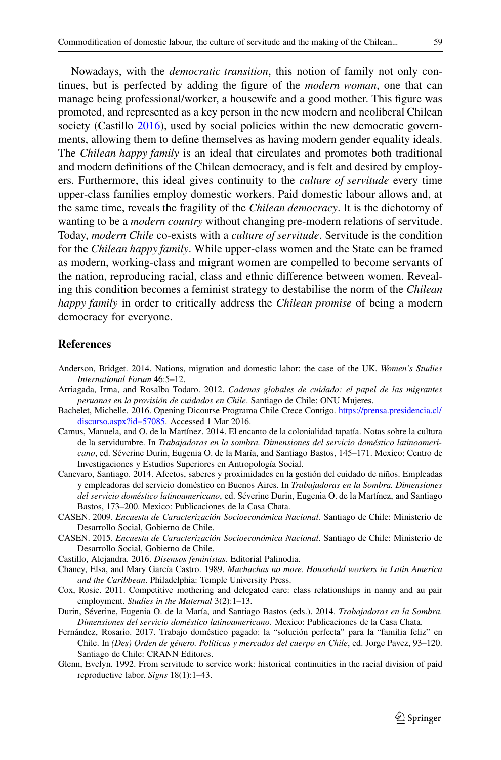Nowadays, with the *democratic transition*, this notion of family not only continues, but is perfected by adding the figure of the *modern woman*, one that can manage being professional/worker, a housewife and a good mother. This figure was promoted, and represented as a key person in the new modern and neoliberal Chilean society (Castillo [2016\)](#page-10-12), used by social policies within the new democratic governments, allowing them to define themselves as having modern gender equality ideals. The *Chilean happy family* is an ideal that circulates and promotes both traditional and modern definitions of the Chilean democracy, and is felt and desired by employers. Furthermore, this ideal gives continuity to the *culture of servitude* every time upper-class families employ domestic workers. Paid domestic labour allows and, at the same time, reveals the fragility of the *Chilean democracy*. It is the dichotomy of wanting to be a *modern country* without changing pre-modern relations of servitude. Today, *modern Chile* co-exists with a *culture of servitude*. Servitude is the condition for the *Chilean happy family*. While upper-class women and the State can be framed as modern, working-class and migrant women are compelled to become servants of the nation, reproducing racial, class and ethnic difference between women. Revealing this condition becomes a feminist strategy to destabilise the norm of the *Chilean happy family* in order to critically address the *Chilean promise* of being a modern democracy for everyone.

#### **References**

- <span id="page-10-6"></span>Anderson, Bridget. 2014. Nations, migration and domestic labor: the case of the UK. *Women's Studies International Forum* 46:5–12.
- <span id="page-10-11"></span><span id="page-10-0"></span>Arriagada, Irma, and Rosalba Todaro. 2012. *Cadenas globales de cuidado: el papel de las migrantes peruanas en la provisión de cuidados en Chile*. Santiago de Chile: ONU Mujeres.
- Bachelet, Michelle. 2016. Opening Dicourse Programa Chile Crece Contigo. [https://prensa.presidencia.cl/](https://prensa.presidencia.cl/discurso.aspx?id=57085) [discurso.aspx?id=57085.](https://prensa.presidencia.cl/discurso.aspx?id=57085) Accessed 1 Mar 2016.
- <span id="page-10-5"></span>Camus, Manuela, and O. de la Martínez. 2014. El encanto de la colonialidad tapatía. Notas sobre la cultura de la servidumbre. In *Trabajadoras en la sombra. Dimensiones del servicio doméstico latinoamericano*, ed. Séverine Durin, Eugenia O. de la María, and Santiago Bastos, 145–171. Mexico: Centro de Investigaciones y Estudios Superiores en Antropología Social.
- <span id="page-10-9"></span>Canevaro, Santiago. 2014. Afectos, saberes y proximidades en la gestión del cuidado de niños. Empleadas y empleadoras del servicio doméstico en Buenos Aires. In *Trabajadoras en la Sombra. Dimensiones del servicio doméstico latinoamericano*, ed. Séverine Durin, Eugenia O. de la Martínez, and Santiago Bastos, 173–200. Mexico: Publicaciones de la Casa Chata.
- <span id="page-10-4"></span><span id="page-10-3"></span>CASEN. 2009. *Encuesta de Caracterización Socioeconómica Nacional.* Santiago de Chile: Ministerio de Desarrollo Social, Gobierno de Chile.
- CASEN. 2015. *Encuesta de Caracterización Socioeconómica Nacional*. Santiago de Chile: Ministerio de Desarrollo Social, Gobierno de Chile.
- <span id="page-10-12"></span><span id="page-10-8"></span>Castillo, Alejandra. 2016. *Disensos feministas*. Editorial Palinodia.
- Chaney, Elsa, and Mary García Castro. 1989. *Muchachas no more. Household workers in Latin America and the Caribbean*. Philadelphia: Temple University Press.
- <span id="page-10-1"></span>Cox, Rosie. 2011. Competitive mothering and delegated care: class relationships in nanny and au pair employment. *Studies in the Maternal* 3(2):1–13.
- <span id="page-10-10"></span>Durin, Séverine, Eugenia O. de la María, and Santiago Bastos (eds.). 2014. *Trabajadoras en la Sombra. Dimensiones del servicio doméstico latinoamericano*. Mexico: Publicaciones de la Casa Chata.
- <span id="page-10-2"></span>Fernández, Rosario. 2017. Trabajo doméstico pagado: la "solución perfecta" para la "familia feliz" en Chile. In *(Des) Orden de género. Políticas y mercados del cuerpo en Chile*, ed. Jorge Pavez, 93–120. Santiago de Chile: CRANN Editores.
- <span id="page-10-7"></span>Glenn, Evelyn. 1992. From servitude to service work: historical continuities in the racial division of paid reproductive labor. *Signs* 18(1):1–43.